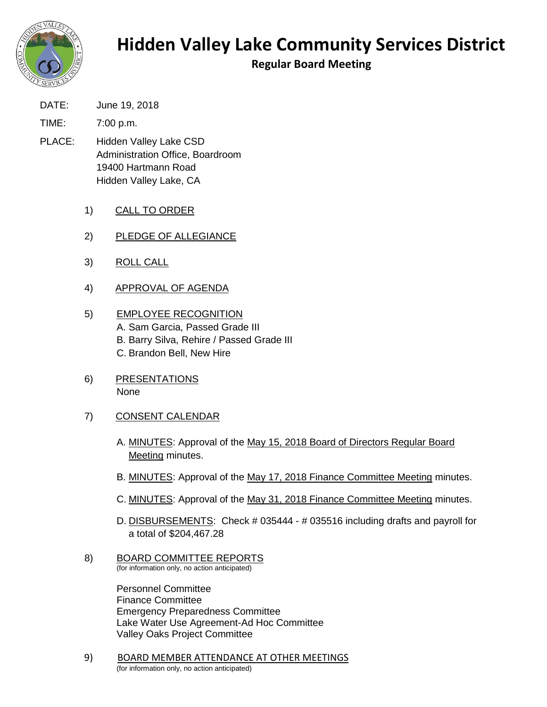

## **Hidden Valley Lake Community Services District**

**Regular Board Meeting**

- DATE: June 19, 2018
- TIME: 7:00 p.m.
- PLACE: Hidden Valley Lake CSD Administration Office, Boardroom 19400 Hartmann Road Hidden Valley Lake, CA
	- 1) CALL TO ORDER
	- 2) PLEDGE OF ALLEGIANCE
	- 3) ROLL CALL
	- 4) APPROVAL OF AGENDA
	- 5) EMPLOYEE RECOGNITION A. Sam Garcia, Passed Grade III B. Barry Silva, Rehire / Passed Grade III C. Brandon Bell, New Hire
	- 6) PRESENTATIONS None
	- 7) CONSENT CALENDAR
		- A. MINUTES: Approval of the May 15, 2018 Board of Directors Regular Board Meeting minutes.
		- B. MINUTES: Approval of the May 17, 2018 Finance Committee Meeting minutes.
		- C. MINUTES: Approval of the May 31, 2018 Finance Committee Meeting minutes.
		- D. DISBURSEMENTS: Check # 035444 # 035516 including drafts and payroll for a total of \$204,467.28
	- 8) BOARD COMMITTEE REPORTS (for information only, no action anticipated)

Personnel Committee Finance Committee Emergency Preparedness Committee Lake Water Use Agreement-Ad Hoc Committee Valley Oaks Project Committee

9) BOARD MEMBER ATTENDANCE AT OTHER MEETINGS (for information only, no action anticipated)